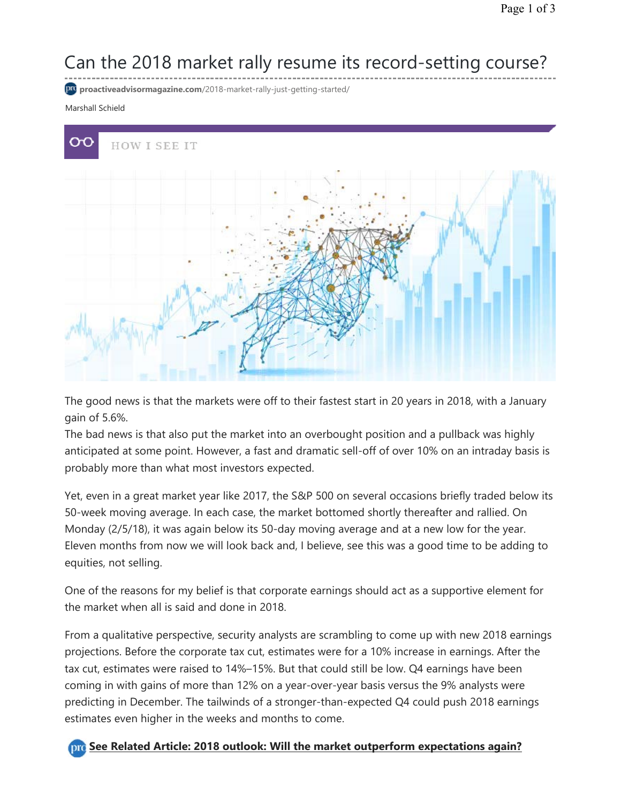# Can the 2018 market rally resume its record-setting course?

**proactiveadvisormagazine.com**/2018-market-rally-just-getting-started/

### Marshall Schield



The good news is that the markets were off to their fastest start in 20 years in 2018, with a January gain of 5.6%.

The bad news is that also put the market into an overbought position and a pullback was highly anticipated at some point. However, a fast and dramatic sell-off of over 10% on an intraday basis is probably more than what most investors expected.

Yet, even in a great market year like 2017, the S&P 500 on several occasions briefly traded below its 50-week moving average. In each case, the market bottomed shortly thereafter and rallied. On Monday (2/5/18), it was again below its 50-day moving average and at a new low for the year. Eleven months from now we will look back and, I believe, see this was a good time to be adding to equities, not selling.

One of the reasons for my belief is that corporate earnings should act as a supportive element for the market when all is said and done in 2018.

From a qualitative perspective, security analysts are scrambling to come up with new 2018 earnings projections. Before the corporate tax cut, estimates were for a 10% increase in earnings. After the tax cut, estimates were raised to 14%–15%. But that could still be low. Q4 earnings have been coming in with gains of more than 12% on a year-over-year basis versus the 9% analysts were predicting in December. The tailwinds of a stronger-than-expected Q4 could push 2018 earnings estimates even higher in the weeks and months to come.

### **Dre** See Related Article: 2018 outlook: Will the market outperform expectations again?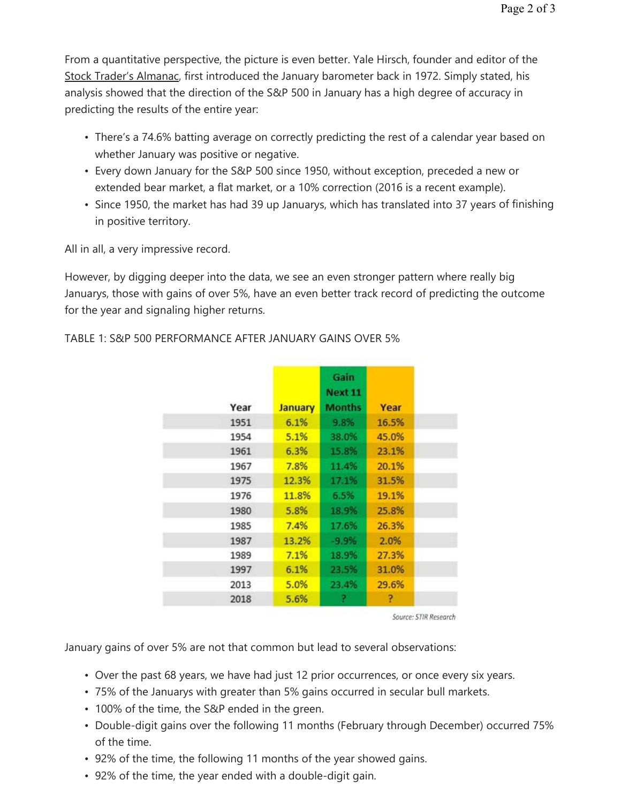From a quantitative perspective, the picture is even better. Yale Hirsch, founder and editor of the Stock Trader's Almanac, first introduced the January barometer back in 1972. Simply stated, his analysis showed that the direction of the S&P 500 in January has a high degree of accuracy in predicting the results of the entire year:

- There's a 74.6% batting average on correctly predicting the rest of a calendar year based on whether January was positive or negative.
- Every down January for the S&P 500 since 1950, without exception, preceded a new or extended bear market, a flat market, or a 10% correction (2016 is a recent example).
- Since 1950, the market has had 39 up Januarys, which has translated into 37 years of finishing in positive territory.

All in all, a very impressive record.

However, by digging deeper into the data, we see an even stronger pattern where really big Januarys, those with gains of over 5%, have an even better track record of predicting the outcome for the year and signaling higher returns.

|      |                | Gain<br>Next 11 |       |
|------|----------------|-----------------|-------|
| Year | <b>January</b> | <b>Months</b>   | Year  |
| 1951 | 6.1%           | 9.8%            | 16.5% |
| 1954 | 5.1%           | 38.0%           | 45.0% |
| 1961 | 6.3%           | 15.8%           | 23.1% |
| 1967 | 7.8%           | 11.4%           | 20.1% |
| 1975 | 12.3%          | 17.1%           | 31.5% |
| 1976 | 11.8%          | 6.5%            | 19.1% |
| 1980 | 5.8%           | 18.9%           | 25.8% |
| 1985 | 7.4%           | 17.6%           | 26.3% |
| 1987 | 13.2%          | $-9.9%$         | 2.0%  |
| 1989 | 7.1%           | 18.9%           | 27.3% |
| 1997 | 6.1%           | 23.5%           | 31.0% |
| 2013 | 5.0%           | 23.4%           | 29.6% |
| 2018 | 5.6%           | ?               | ?     |

## TABLE 1: S&P 500 PERFORMANCE AFTER JANUARY GAINS OVER 5%

Source: STIR Research

January gains of over 5% are not that common but lead to several observations:

- Over the past 68 years, we have had just 12 prior occurrences, or once every six years.
- 75% of the Januarys with greater than 5% gains occurred in secular bull markets.
- 100% of the time, the S&P ended in the green.
- Double-digit gains over the following 11 months (February through December) occurred 75% of the time.
- 92% of the time, the following 11 months of the year showed gains.
- 92% of the time, the year ended with a double-digit gain.